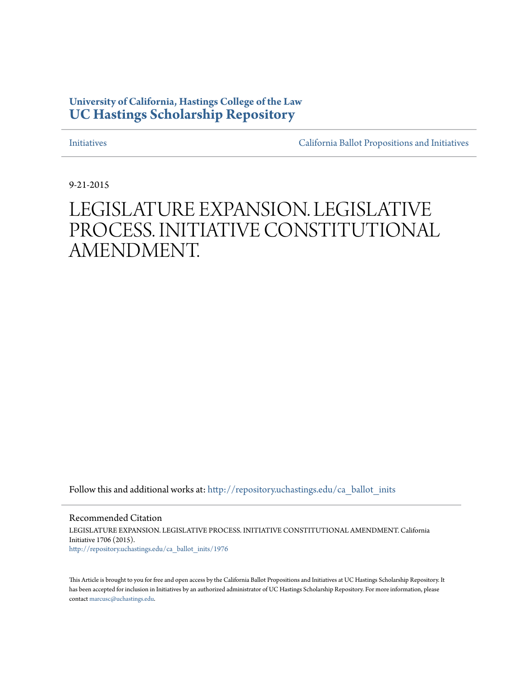### **University of California, Hastings College of the Law [UC Hastings Scholarship Repository](http://repository.uchastings.edu?utm_source=repository.uchastings.edu%2Fca_ballot_inits%2F1976&utm_medium=PDF&utm_campaign=PDFCoverPages)**

[Initiatives](http://repository.uchastings.edu/ca_ballot_inits?utm_source=repository.uchastings.edu%2Fca_ballot_inits%2F1976&utm_medium=PDF&utm_campaign=PDFCoverPages) [California Ballot Propositions and Initiatives](http://repository.uchastings.edu/ca_ballots?utm_source=repository.uchastings.edu%2Fca_ballot_inits%2F1976&utm_medium=PDF&utm_campaign=PDFCoverPages)

9-21-2015

# LEGISLATURE EXPANSION. LEGISLATIVE PROCESS. INITIATIVE CONSTITUTIONAL AMENDMENT.

Follow this and additional works at: [http://repository.uchastings.edu/ca\\_ballot\\_inits](http://repository.uchastings.edu/ca_ballot_inits?utm_source=repository.uchastings.edu%2Fca_ballot_inits%2F1976&utm_medium=PDF&utm_campaign=PDFCoverPages)

Recommended Citation LEGISLATURE EXPANSION. LEGISLATIVE PROCESS. INITIATIVE CONSTITUTIONAL AMENDMENT. California Initiative 1706 (2015). [http://repository.uchastings.edu/ca\\_ballot\\_inits/1976](http://repository.uchastings.edu/ca_ballot_inits/1976?utm_source=repository.uchastings.edu%2Fca_ballot_inits%2F1976&utm_medium=PDF&utm_campaign=PDFCoverPages)

This Article is brought to you for free and open access by the California Ballot Propositions and Initiatives at UC Hastings Scholarship Repository. It has been accepted for inclusion in Initiatives by an authorized administrator of UC Hastings Scholarship Repository. For more information, please contact [marcusc@uchastings.edu](mailto:marcusc@uchastings.edu).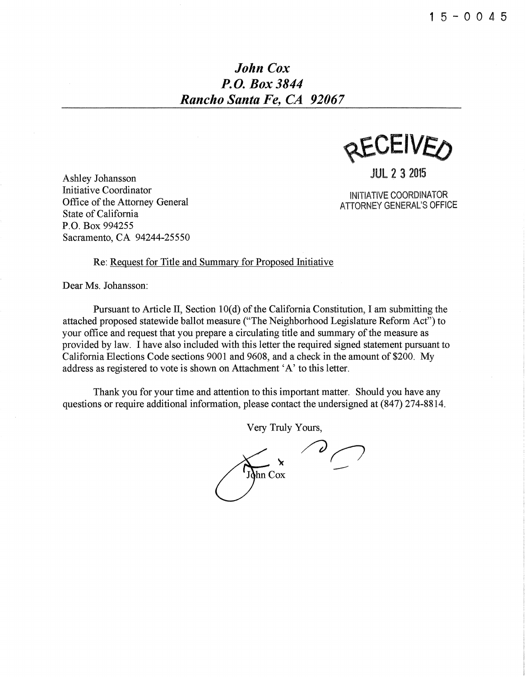## *John Cox P. 0. Box 3844 Rancho Santa Fe, CA 92067*

**AFAFIAED** 

JUL 2 3 2015

INITIATIVE COORDINATOR ATTORNEY GENERAL'S OFFICE

Ashley Johansson Initiative Coordinator Office of the Attorney General State of California P.O. Box 994255 Sacramento, CA 94244-25550

#### Re: Request for Title and Summary for Proposed Initiative

Dear Ms. Johansson:

Pursuant to Article II, Section 10(d) of the California Constitution, I am submitting the attached proposed statewide ballot measure ("The Neighborhood Legislature Reform Act") to your office and request that you prepare a circulating title and summary of the measure as provided by law. I have also included with this letter the required signed statement pursuant to California Elections Code sections 9001 and 9608, and a check in the amount of \$200. My address as registered to vote is shown on Attachment 'A' to this letter.

Thank you for your time and attention to this important matter. Should you have any questions or require additional information, please contact the undersigned at (847) 274-8814.

Very Truly Yours,

--John Cox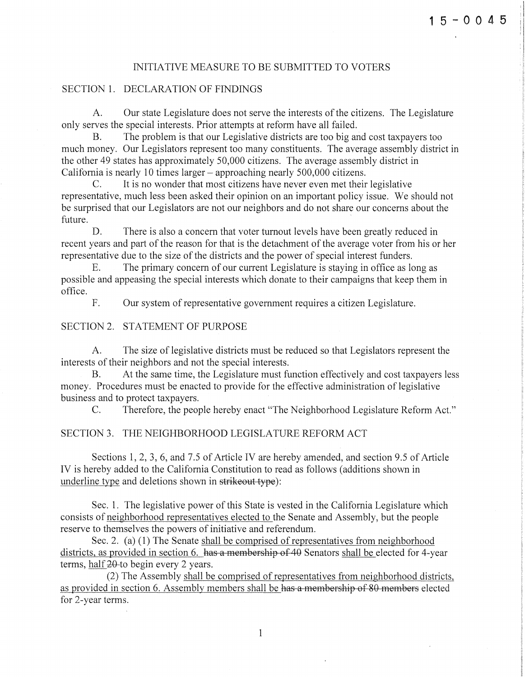:I

#### INITIATIVE MEASURE TO BE SUBMITTED TO VOTERS

#### SECTION 1. DECLARATION OF FINDINGS

A. Our state Legislature does not serve the interests of the citizens. The Legislature only serves the special interests. Prior attempts at reform have all failed.

B. The problem is that our Legislative districts are too big and cost taxpayers too much money. Our Legislators represent too many constituents. The average assembly district in the other 49 states has approximately 50,000 citizens. The average assembly district in California is nearly 10 times larger- approaching nearly 500,000 citizens.

C. It is no wonder that most citizens have never even met their legislative representative, much less been asked their opinion on an important policy issue. We should not be surprised that our Legislators are not our neighbors and do not share our concerns about the future. future.

D. There is also a concern that voter turnout levels have been greatly reduced in recent years and part of the reason for that is the detachment of the average voter from his or her representative due to the size of the districts and the power of special interest funders.

E. The primary concern of our current Legislature is staying in office as long as possible and appeasing the special interests which donate to their campaigns that keep them in office.

F. Our system of representative government requires a citizen Legislature.

#### SECTION 2. STATEMENT OF PURPOSE

A. The size of legislative districts must be reduced so that Legislators represent the interests of their neighbors and not the special interests.

B. At the same time, the Legislature must function effectively and cost taxpayers less money. Procedures must be enacted to provide for the effective administration of legislative business and to protect taxpayers.

C. Therefore, the people hereby enact "The Neighborhood Legislature Reform Act."

#### SECTION 3. THE NEIGHBORHOOD LEGISLATURE REFORM ACT

Sections 1, 2, 3, 6, and 7.5 of Article IV are hereby amended, and section 9.5 of Article IV is hereby added to the California Constitution to read as follows (additions shown in underline type and deletions shown in strikeout type):

Sec. 1. The legislative power of this State is vested in the California Legislature which consists of neighborhood representatives elected to the Senate and Assembly, but the people reserve to themselves the powers of initiative and referendum.

Sec. 2. (a) (1) The Senate shall be comprised of representatives from neighborhood districts, as provided in section 6. has a membership of 40 Senators shall be elected for 4-year terms, half 20-to begin every 2 years.

(2) The Assembly shall be comprised of representatives from neighborhood districts, as provided in section 6. Assembly members shall be has a membership of 80 members elected for 2-year terms.

1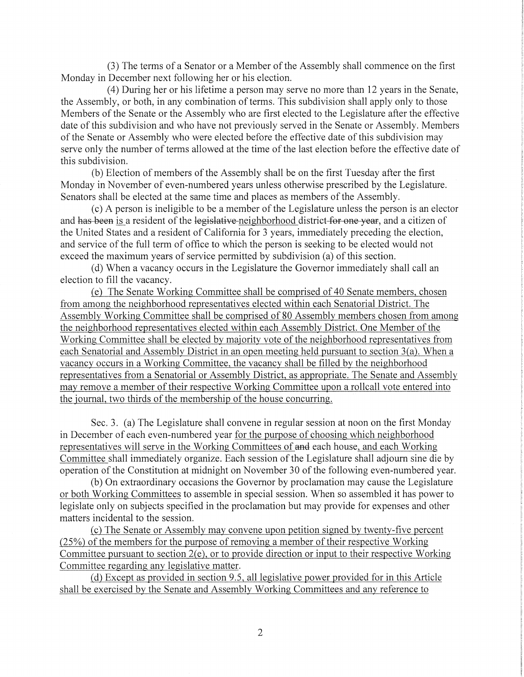(3) The terms of a Senator or a Member of the Assembly shall commence on the first Monday in December next following her or his election.

( 4) During her or his lifetime a person may serve no more than 12 years in the Senate, the Assembly, or both, in any combination of terms. This subdivision shall apply only to those Members of the Senate or the Assembly who are first elected to the Legislature after the effective date of this subdivision and who have not previously served in the Senate or Assembly. Members of the Senate or Assembly who were elected before the effective date of this subdivision may serve only the number of terms allowed at the time of the last election before the effective date of this subdivision.

(b) Election of members of the Assembly shall be on the first Tuesday after the first Monday in November of even-numbered years unless otherwise prescribed by the Legislature. Senators shall be elected at the same time and places as members of the Assembly.

(c) A person is ineligible to be a member of the Legislature unless the person is an elector and has been is a resident of the legislative neighborhood district for one year, and a citizen of the United States and a resident of California for 3 years, immediately preceding the election, and service of the full term of office to which the person is seeking to be elected would not exceed the maximum years of service permitted by subdivision (a) of this section.

(d) When a vacancy occurs in the Legislature the Governor immediately shall call an election to fill the vacancy.

(e) The Senate Working Committee shall be comprised of 40 Senate members, chosen from among the neighborhood representatives elected within each Senatorial District. The Assembly Working Committee shall be comprised of 80 Assembly members chosen from among the neighborhood representatives elected within each Assembly District. One Member of the Working Committee shall be elected by majority vote of the neighborhood representatives from each Senatorial and Assembly District in an open meeting held pursuant to section 3(a). When a vacancy occurs in a Working Committee, the vacancy shall be filled by the neighborhood representatives from a Senatorial or Assembly District, as appropriate. The Senate and Assembly may remove a member of their respective Working Committee upon a rollcall vote entered into the journal, two thirds of the membership of the house concurring.

Sec. 3. (a) The Legislature shall convene in regular session at noon on the first Monday in December of each even-numbered year for the purpose of choosing which neighborhood representatives will serve in the Working Committees of and each house, and each Working Committee shall immediately organize. Each session of the Legislature shall adjourn sine die by operation of the Constitution at midnight on November 30 of the following even-numbered year.

(b) On extraordinary occasions the Governor by proclamation may cause the Legislature or both Working Committees to assemble in special session. When so assembled it has power to legislate only on subjects specified in the proclamation but may provide for expenses and other matters incidental to the session.

(c) The Senate or Assembly may convene upon petition signed by twenty-five percent  $(25%)$  of the members for the purpose of removing a member of their respective Working Committee pursuant to section 2(e), or to provide direction or input to their respective Working Committee regarding any legislative matter.

(d) Except as provided in section 9.5, all legislative power provided for in this Article shall be exercised by the Senate and Assembly Working Committees and any reference to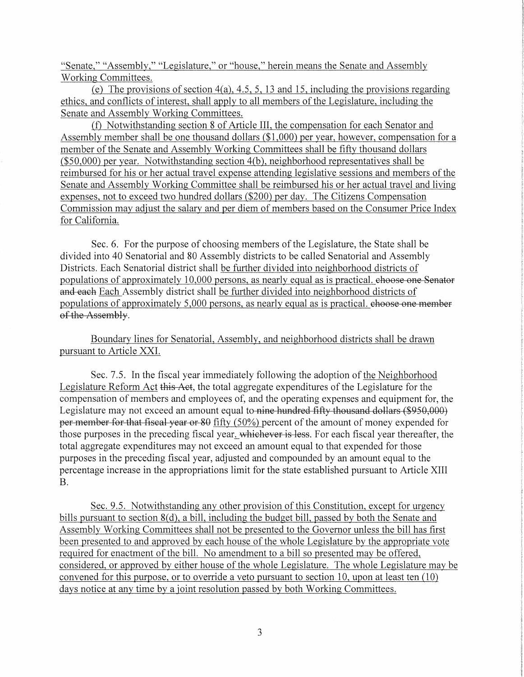"Senate," "Assembly," "Legislature," or "house," herein means the Senate and Assembly Working Committees.

(e) The provisions of section 4(a), 4.5, 5, 13 and 15, including the provisions regarding ethics, and conflicts of interest, shall apply to all members of the Legislature, including the Senate and Assembly Working Committees.

(f) Notwithstanding section 8 of Article III, the compensation for each Senator and Assembly member shall be one thousand dollars (\$1,000) per year, however, compensation for a member of the Senate and Assembly Working Committees shall be fifty thousand dollars (\$50,000) per year. Notwithstanding section 4(b), neighborhood representatives shall be reimbursed for his or her actual travel expense attending legislative sessions and members of the Senate and Assembly Working Committee shall be reimbursed his or her actual travel and living expenses, not to exceed two hundred dollars (\$200) per day. The Citizens Compensation Commission may adjust the salary and per diem of members based on the Consumer Price Index for California.

Sec. 6. For the purpose of choosing members of the Legislature, the State shall be divided into 40 Senatorial and 80 Assembly districts to be called Senatorial and Assembly Districts. Each Senatorial district shall be further divided into neighborhood districts of populations of approximately 10,000 persons, as nearly equal as is practical. choose one Senator and each Each Assembly district shall be further divided into neighborhood districts of populations of approximately 5,000 persons, as nearly equal as is practical. choose one member of the Assembly.

Boundary lines for Senatorial, Assembly, and neighborhood districts shall be drawn pursuant to Article XXI.

Sec. 7.5. In the fiscal year immediately following the adoption of the Neighborhood Legislature Reform Act this Act, the total aggregate expenditures of the Legislature for the compensation of members and employees of, and the operating expenses and equipment for, the Legislature may not exceed an amount equal to nine hundred fifty thousand dollars (\$950,000) per member for that fiscal year or 80 fifty (50%) percent of the amount of money expended for those purposes in the preceding fiscal year, whichever is less. For each fiscal year thereafter, the total aggregate expenditures may not exceed an amount equal to that expended for those purposes in the preceding fiscal year, adjusted and compounded by an amount equal to the percentage increase in the appropriations limit for the state established pursuant to Article XIII B.

Sec. 9.5. Notwithstanding any other provision of this Constitution, except for urgency bills pursuant to section 8(d), a bill, including the budget bill, passed by both the Senate and Assembly Working Committees shall not be presented to the Governor unless the bill has first been presented to and approved by each house of the whole Legislature by the appropriate vote required for enactment of the bill. No amendment to a bill so presented may be offered, considered, or approved by either house of the whole Legislature. The whole Legislature may be convened for this purpose, or to override a veto pursuant to section 10, upon at least ten  $(10)$ days notice at any time by a joint resolution passed by both Working Committees.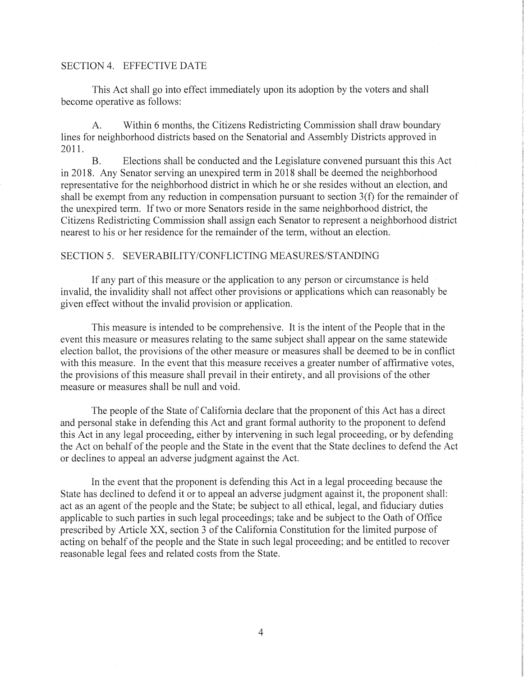#### SECTION 4. EFFECTIVE DATE

This Act shall go into effect immediately upon its adoption by the voters and shall become operative as follows:

A. Within 6 months, the Citizens Redistricting Commission shall draw boundary lines for neighborhood districts based on the Senatorial and Assembly Districts approved in 2011.

B. Elections shall be conducted and the Legislature convened pursuant this this Act in 2018. Any Senator serving an unexpired term in 2018 shall be deemed the neighborhood representative for the neighborhood district in which he or she resides without an election, and shall be exempt from any reduction in compensation pursuant to section 3(f) for the remainder of the unexpired term. If two or more Senators reside in the same neighborhood district, the Citizens Redistricting Commission shall assign each Senator to represent a neighborhood district nearest to his or her residence for the remainder of the term, without an election.

#### SECTION 5. SEVERABILITY/CONFLICTING MEASURES/STANDING

If any part of this measure or the application to any person or circumstance is held invalid, the invalidity shall not affect other provisions or applications which can reasonably be given effect without the invalid provision or application.

This measure is intended to be comprehensive. It is the intent of the People that in the event this measure or measures relating to the same subject shall appear on the same statewide election ballot, the provisions of the other measure or measures shall be deemed to be in conflict with this measure. In the event that this measure receives a greater number of affirmative votes, the provisions of this measure shall prevail in their entirety, and all provisions of the other measure or measures shall be null and void.

The people of the State of California declare that the proponent of this Act has a direct and personal stake in defending this Act and grant formal authority to the proponent to defend this Act in any legal proceeding, either by intervening in such legal proceeding, or by defending the Act on behalf of the people and the State in the event that the State declines to defend the Act or declines to appeal an adverse judgment against the Act.

In the event that the proponent is defending this Act in a legal proceeding because the State has declined to defend it or to appeal an adverse judgment against it, the proponent shall: act as an agent of the people and the State; be subject to all ethical, legal, and fiduciary duties applicable to such parties in such legal proceedings; take and be subject to the Oath of Office prescribed by Article XX, section 3 of the California Constitution for the limited purpose of acting on behalf of the people and the State in such legal proceeding; and be entitled to recover reasonable legal fees and related costs from the State.